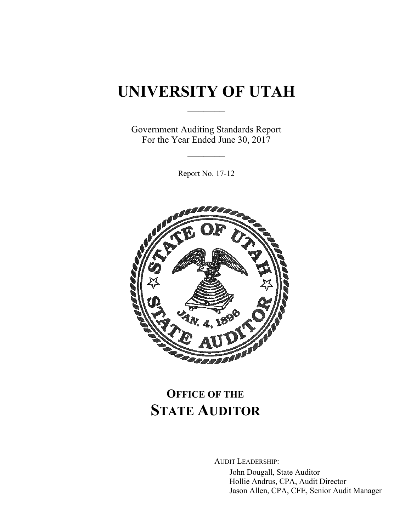# **UNIVERSITY OF UTAH**

 $\frac{1}{2}$ 

Government Auditing Standards Report For the Year Ended June 30, 2017

 $\frac{1}{2}$ 

Report No. 17-12



# **OFFICE OF THE STATE AUDITOR**

AUDIT LEADERSHIP:

John Dougall, State Auditor Hollie Andrus, CPA, Audit Director Jason Allen, CPA, CFE, Senior Audit Manager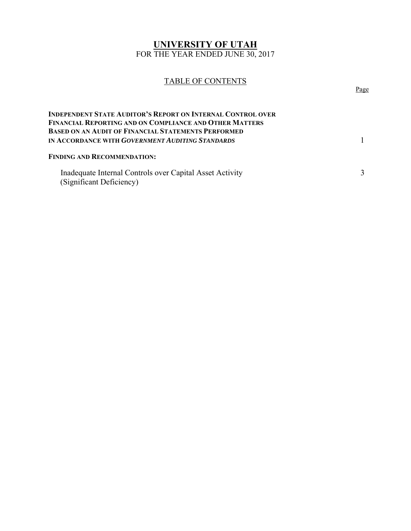# **UNIVERSITY OF UTAH**  FOR THE YEAR ENDED JUNE 30, 2017

# TABLE OF CONTENTS Page

| INDEPENDENT STATE AUDITOR'S REPORT ON INTERNAL CONTROL OVER<br>FINANCIAL REPORTING AND ON COMPLIANCE AND OTHER MATTERS<br>BASED ON AN AUDIT OF FINANCIAL STATEMENTS PERFORMED |  |
|-------------------------------------------------------------------------------------------------------------------------------------------------------------------------------|--|
| IN ACCORDANCE WITH <i>GOVERNMENT AUDITING STANDARDS</i>                                                                                                                       |  |
| <b>FINDING AND RECOMMENDATION:</b>                                                                                                                                            |  |
| Inadequate Internal Controls over Capital Asset Activity<br>(Significant Deficiency)                                                                                          |  |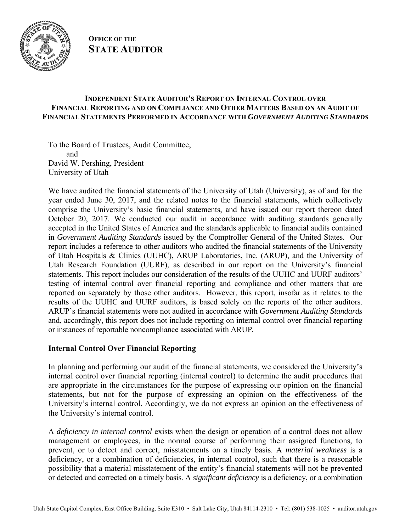

# **OFFICE OF THE STATE AUDITOR**

# **INDEPENDENT STATE AUDITOR'S REPORT ON INTERNAL CONTROL OVER FINANCIAL REPORTING AND ON COMPLIANCE AND OTHER MATTERS BASED ON AN AUDIT OF FINANCIAL STATEMENTS PERFORMED IN ACCORDANCE WITH** *GOVERNMENT AUDITING STANDARDS*

To the Board of Trustees, Audit Committee, and David W. Pershing, President University of Utah

We have audited the financial statements of the University of Utah (University), as of and for the year ended June 30, 2017, and the related notes to the financial statements, which collectively comprise the University's basic financial statements, and have issued our report thereon dated October 20, 2017. We conducted our audit in accordance with auditing standards generally accepted in the United States of America and the standards applicable to financial audits contained in *Government Auditing Standards* issued by the Comptroller General of the United States. Our report includes a reference to other auditors who audited the financial statements of the University of Utah Hospitals & Clinics (UUHC), ARUP Laboratories, Inc. (ARUP), and the University of Utah Research Foundation (UURF), as described in our report on the University's financial statements. This report includes our consideration of the results of the UUHC and UURF auditors' testing of internal control over financial reporting and compliance and other matters that are reported on separately by those other auditors. However, this report, insofar as it relates to the results of the UUHC and UURF auditors, is based solely on the reports of the other auditors. ARUP's financial statements were not audited in accordance with *Government Auditing Standards* and, accordingly, this report does not include reporting on internal control over financial reporting or instances of reportable noncompliance associated with ARUP*.* 

# **Internal Control Over Financial Reporting**

In planning and performing our audit of the financial statements, we considered the University's internal control over financial reporting (internal control) to determine the audit procedures that are appropriate in the circumstances for the purpose of expressing our opinion on the financial statements, but not for the purpose of expressing an opinion on the effectiveness of the University's internal control. Accordingly, we do not express an opinion on the effectiveness of the University's internal control.

A *deficiency in internal control* exists when the design or operation of a control does not allow management or employees, in the normal course of performing their assigned functions, to prevent, or to detect and correct, misstatements on a timely basis. A *material weakness* is a deficiency, or a combination of deficiencies, in internal control, such that there is a reasonable possibility that a material misstatement of the entity's financial statements will not be prevented or detected and corrected on a timely basis. A *significant deficiency* is a deficiency, or a combination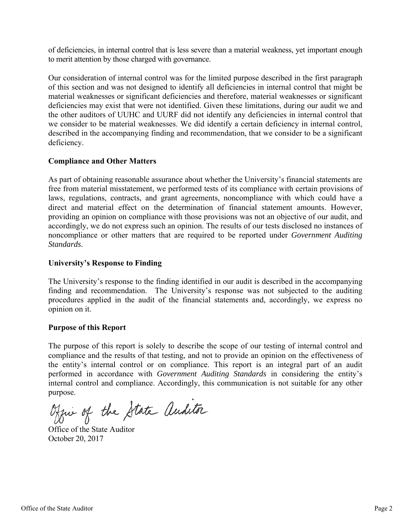of deficiencies, in internal control that is less severe than a material weakness, yet important enough to merit attention by those charged with governance.

Our consideration of internal control was for the limited purpose described in the first paragraph of this section and was not designed to identify all deficiencies in internal control that might be material weaknesses or significant deficiencies and therefore, material weaknesses or significant deficiencies may exist that were not identified. Given these limitations, during our audit we and the other auditors of UUHC and UURF did not identify any deficiencies in internal control that we consider to be material weaknesses. We did identify a certain deficiency in internal control, described in the accompanying finding and recommendation, that we consider to be a significant deficiency.

#### **Compliance and Other Matters**

As part of obtaining reasonable assurance about whether the University's financial statements are free from material misstatement, we performed tests of its compliance with certain provisions of laws, regulations, contracts, and grant agreements, noncompliance with which could have a direct and material effect on the determination of financial statement amounts. However, providing an opinion on compliance with those provisions was not an objective of our audit, and accordingly, we do not express such an opinion. The results of our tests disclosed no instances of noncompliance or other matters that are required to be reported under *Government Auditing Standards*.

### **University's Response to Finding**

The University's response to the finding identified in our audit is described in the accompanying finding and recommendation. The University's response was not subjected to the auditing procedures applied in the audit of the financial statements and, accordingly, we express no opinion on it.

#### **Purpose of this Report**

The purpose of this report is solely to describe the scope of our testing of internal control and compliance and the results of that testing, and not to provide an opinion on the effectiveness of the entity's internal control or on compliance. This report is an integral part of an audit performed in accordance with *Government Auditing Standards* in considering the entity's internal control and compliance. Accordingly, this communication is not suitable for any other purpose.

Office of the State auditor

Office of the State Auditor October 20, 2017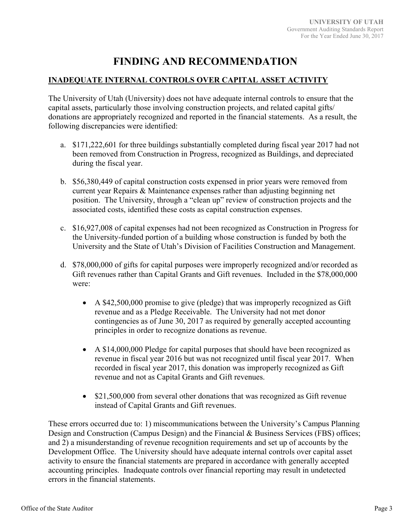# **FINDING AND RECOMMENDATION**

# **INADEQUATE INTERNAL CONTROLS OVER CAPITAL ASSET ACTIVITY**

The University of Utah (University) does not have adequate internal controls to ensure that the capital assets, particularly those involving construction projects, and related capital gifts/ donations are appropriately recognized and reported in the financial statements. As a result, the following discrepancies were identified:

- a. \$171,222,601 for three buildings substantially completed during fiscal year 2017 had not been removed from Construction in Progress, recognized as Buildings, and depreciated during the fiscal year.
- b. \$56,380,449 of capital construction costs expensed in prior years were removed from current year Repairs & Maintenance expenses rather than adjusting beginning net position. The University, through a "clean up" review of construction projects and the associated costs, identified these costs as capital construction expenses.
- c. \$16,927,008 of capital expenses had not been recognized as Construction in Progress for the University-funded portion of a building whose construction is funded by both the University and the State of Utah's Division of Facilities Construction and Management.
- d. \$78,000,000 of gifts for capital purposes were improperly recognized and/or recorded as Gift revenues rather than Capital Grants and Gift revenues. Included in the \$78,000,000 were:
	- A \$42,500,000 promise to give (pledge) that was improperly recognized as Gift revenue and as a Pledge Receivable. The University had not met donor contingencies as of June 30, 2017 as required by generally accepted accounting principles in order to recognize donations as revenue.
	- A \$14,000,000 Pledge for capital purposes that should have been recognized as revenue in fiscal year 2016 but was not recognized until fiscal year 2017. When recorded in fiscal year 2017, this donation was improperly recognized as Gift revenue and not as Capital Grants and Gift revenues.
	- \$21,500,000 from several other donations that was recognized as Gift revenue instead of Capital Grants and Gift revenues.

These errors occurred due to: 1) miscommunications between the University's Campus Planning Design and Construction (Campus Design) and the Financial & Business Services (FBS) offices; and 2) a misunderstanding of revenue recognition requirements and set up of accounts by the Development Office. The University should have adequate internal controls over capital asset activity to ensure the financial statements are prepared in accordance with generally accepted accounting principles. Inadequate controls over financial reporting may result in undetected errors in the financial statements.